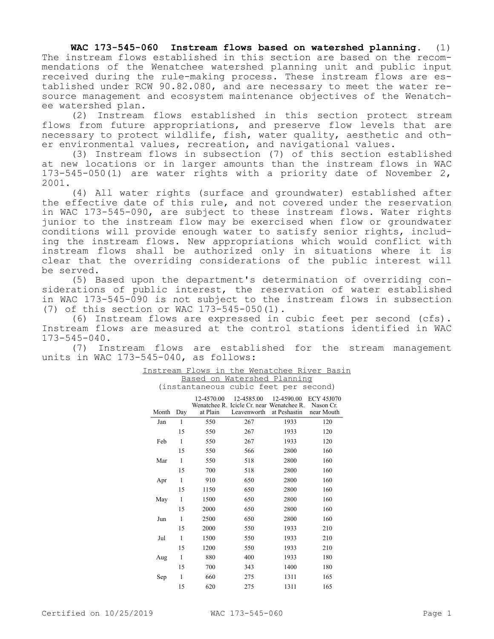**WAC 173-545-060 Instream flows based on watershed planning.** (1) The instream flows established in this section are based on the recommendations of the Wenatchee watershed planning unit and public input received during the rule-making process. These instream flows are established under RCW 90.82.080, and are necessary to meet the water resource management and ecosystem maintenance objectives of the Wenatchee watershed plan.

(2) Instream flows established in this section protect stream flows from future appropriations, and preserve flow levels that are necessary to protect wildlife, fish, water quality, aesthetic and other environmental values, recreation, and navigational values.

(3) Instream flows in subsection (7) of this section established at new locations or in larger amounts than the instream flows in WAC 173-545-050(1) are water rights with a priority date of November 2, 2001.

(4) All water rights (surface and groundwater) established after the effective date of this rule, and not covered under the reservation in WAC 173-545-090, are subject to these instream flows. Water rights junior to the instream flow may be exercised when flow or groundwater conditions will provide enough water to satisfy senior rights, including the instream flows. New appropriations which would conflict with instream flows shall be authorized only in situations where it is clear that the overriding considerations of the public interest will be served.

(5) Based upon the department's determination of overriding considerations of public interest, the reservation of water established in WAC 173-545-090 is not subject to the instream flows in subsection (7) of this section or WAC 173-545-050(1).

(6) Instream flows are expressed in cubic feet per second (cfs). Instream flows are measured at the control stations identified in WAC 173-545-040.

(7) Instream flows are established for the stream management units in WAC 173-545-040, as follows:

| Based on<br>Watershed Planning        |              |                        |                                                                        |                            |                                              |  |  |
|---------------------------------------|--------------|------------------------|------------------------------------------------------------------------|----------------------------|----------------------------------------------|--|--|
| (instantaneous cubic feet per second) |              |                        |                                                                        |                            |                                              |  |  |
| Month                                 | Day          | 12-4570.00<br>at Plain | 12-4585.00<br>Wenatchee R. Icicle Cr. near Wenatchee R.<br>Leavenworth | 12-4590.00<br>at Peshastin | <b>ECY 45J070</b><br>Nason Cr.<br>near Mouth |  |  |
| Jan                                   | 1            | 550                    | 267                                                                    | 1933                       | 120                                          |  |  |
|                                       | 15           | 550                    | 267                                                                    | 1933                       | 120                                          |  |  |
| Feb                                   | 1            | 550                    | 267                                                                    | 1933                       | 120                                          |  |  |
|                                       | 15           | 550                    | 566                                                                    | 2800                       | 160                                          |  |  |
| Mar                                   | 1            | 550                    | 518                                                                    | 2800                       | 160                                          |  |  |
|                                       | 15           | 700                    | 518                                                                    | 2800                       | 160                                          |  |  |
| Apr                                   | 1            | 910                    | 650                                                                    | 2800                       | 160                                          |  |  |
|                                       | 15           | 1150                   | 650                                                                    | 2800                       | 160                                          |  |  |
| May                                   | 1            | 1500                   | 650                                                                    | 2800                       | 160                                          |  |  |
|                                       | 15           | 2000                   | 650                                                                    | 2800                       | 160                                          |  |  |
| Jun                                   | 1            | 2500                   | 650                                                                    | 2800                       | 160                                          |  |  |
|                                       | 15           | 2000                   | 550                                                                    | 1933                       | 210                                          |  |  |
| Jul                                   | $\mathbf{1}$ | 1500                   | 550                                                                    | 1933                       | 210                                          |  |  |
|                                       | 15           | 1200                   | 550                                                                    | 1933                       | 210                                          |  |  |
| Aug                                   | $\mathbf{1}$ | 880                    | 400                                                                    | 1933                       | 180                                          |  |  |
|                                       | 15           | 700                    | 343                                                                    | 1400                       | 180                                          |  |  |
| Sep                                   | $\mathbf{1}$ | 660                    | 275                                                                    | 1311                       | 165                                          |  |  |
|                                       | 15           | 620                    | 275                                                                    | 1311                       | 165                                          |  |  |

## Instream Flows in the Wenatchee River Basin Based on Watershed Planning

Certified on 10/25/2019 WAC 173-545-060 Page 1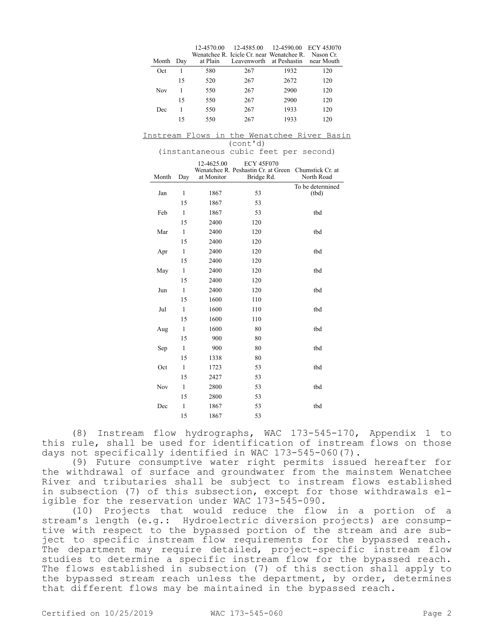| Month | Day | at Plain | 12-4570.00  12-4585.00  12-4590.00  ECY 45J070<br>Wenatchee R. Icicle Cr. near Wenatchee R. Nason Cr.<br>Leavenworth at Peshastin |      | near Mouth |
|-------|-----|----------|-----------------------------------------------------------------------------------------------------------------------------------|------|------------|
| Oct   |     | 580      | 267                                                                                                                               | 1932 | 120        |
|       | 15  | 520      | 267                                                                                                                               | 2672 | 120        |
| Nov   |     | 550      | 267                                                                                                                               | 2900 | 120        |
|       | 15  | 550      | 267                                                                                                                               | 2900 | 120        |
| Dec   |     | 550      | 267                                                                                                                               | 1933 | 120        |
|       | 15  | 550      | 267                                                                                                                               | 1933 | 120        |

Instream Flows in the Wenatchee River Basin (cont'd)

(instantaneous cubic feet per second)

|       |              | 12-4625.00 | <b>ECY 45F070</b>                                 |                                |
|-------|--------------|------------|---------------------------------------------------|--------------------------------|
| Month | Day          | at Monitor | Wenatchee R. Peshastin Cr. at Green<br>Bridge Rd. | Chumstick Cr. at<br>North Road |
|       |              |            |                                                   | To be determined               |
| Jan   | 1            | 1867       | 53                                                | (tbd)                          |
|       | 15           | 1867       | 53                                                |                                |
| Feb   | 1            | 1867       | 53                                                | tbd                            |
|       | 15           | 2400       | 120                                               |                                |
| Mar   | 1            | 2400       | 120                                               | tbd                            |
|       | 15           | 2400       | 120                                               |                                |
| Apr   | $\mathbf{1}$ | 2400       | 120                                               | tbd                            |
|       | 15           | 2400       | 120                                               |                                |
| May   | 1            | 2400       | 120                                               | tbd                            |
|       | 15           | 2400       | 120                                               |                                |
| Jun   | 1            | 2400       | 120                                               | tbd                            |
|       | 15           | 1600       | 110                                               |                                |
| Jul   | $\mathbf{1}$ | 1600       | 110                                               | tbd                            |
|       | 15           | 1600       | 110                                               |                                |
| Aug   | 1            | 1600       | 80                                                | tbd                            |
|       | 15           | 900        | 80                                                |                                |
| Sep   | 1            | 900        | 80                                                | tbd                            |
|       | 15           | 1338       | 80                                                |                                |
| Oct   | $\mathbf{1}$ | 1723       | 53                                                | tbd                            |
|       | 15           | 2427       | 53                                                |                                |
| Nov   | $\mathbf{1}$ | 2800       | 53                                                | tbd                            |
|       | 15           | 2800       | 53                                                |                                |
| Dec   | $\mathbf{1}$ | 1867       | 53                                                | tbd                            |
|       | 15           | 1867       | 53                                                |                                |

(8) Instream flow hydrographs, WAC 173-545-170, Appendix 1 to this rule, shall be used for identification of instream flows on those days not specifically identified in WAC 173-545-060(7).

(9) Future consumptive water right permits issued hereafter for the withdrawal of surface and groundwater from the mainstem Wenatchee River and tributaries shall be subject to instream flows established in subsection (7) of this subsection, except for those withdrawals eligible for the reservation under WAC 173-545-090.

(10) Projects that would reduce the flow in a portion of a stream's length (e.g.: Hydroelectric diversion projects) are consumptive with respect to the bypassed portion of the stream and are subject to specific instream flow requirements for the bypassed reach. The department may require detailed, project-specific instream flow studies to determine a specific instream flow for the bypassed reach. The flows established in subsection (7) of this section shall apply to the bypassed stream reach unless the department, by order, determines that different flows may be maintained in the bypassed reach.